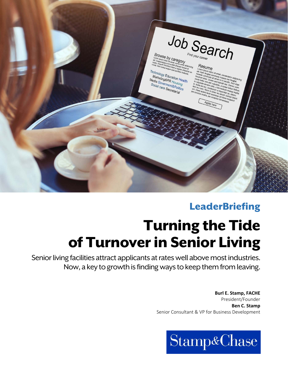

## **LeaderBriefing**

# Turning the Tide of Turnover in Senior Living

Senior living facilities attract applicants at rates well above most industries. Now, a key to growth is finding ways to keep them from leaving.

> **Burl E. Stamp, FACHE**  President/Founder **Ben C. Stamp**  Senior Consultant & VP for Business Development

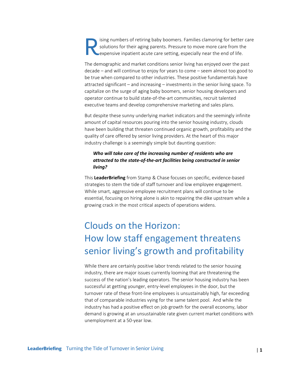ising numbers of retiring baby boomers. Families clamoring for better care solutions for their aging parents. Pressure to move more care from the expensive inpatient acute care setting, especially near the end of life. R

The demographic and market conditions senior living has enjoyed over the past decade – and will continue to enjoy for years to come – seem almost too good to be true when compared to other industries. These positive fundamentals have attracted significant – and increasing – investments in the senior living space. To capitalize on the surge of aging baby boomers, senior housing developers and operator continue to build state‐of‐the‐art communities, recruit talented executive teams and develop comprehensive marketing and sales plans.

But despite these sunny underlying market indicators and the seemingly infinite amount of capital resources pouring into the senior housing industry, clouds have been building that threaten continued organic growth, profitability and the quality of care offered by senior living providers. At the heart of this major industry challenge is a seemingly simple but daunting question:

## *Who will take care of the increasing number of residents who are attracted to the state‐of‐the‐art facilities being constructed in senior living?*

This **LeaderBriefing** from Stamp & Chase focuses on specific, evidence‐based strategies to stem the tide of staff turnover and low employee engagement. While smart, aggressive employee recruitment plans will continue to be essential, focusing on hiring alone is akin to repairing the dike upstream while a growing crack in the most critical aspects of operations widens.

## Clouds on the Horizon: How low staff engagement threatens senior living's growth and profitability

While there are certainly positive labor trends related to the senior housing industry, there are major issues currently looming that are threatening the success of the nation's leading operators. The senior housing industry has been successful at getting younger, entry‐level employees in the door, but the turnover rate of these front‐line employees is unsustainably high, far exceeding that of comparable industries vying for the same talent pool. And while the industry has had a positive effect on job growth for the overall economy, labor demand is growing at an unsustainable rate given current market conditions with unemployment at a 50‐year low.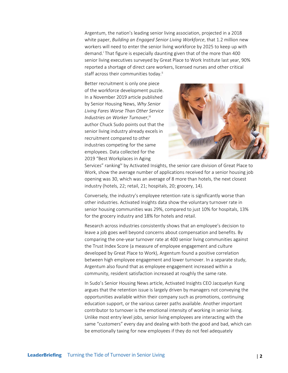Argentum, the nation's leading senior living association, projected in a 2018 white paper, *Building an Engaged Senior Living Workforce*, that 1.2 million new workers will need to enter the senior living workforce by 2025 to keep up with demand.<sup>i</sup> That figure is especially daunting given that of the more than 400 senior living executives surveyed by Great Place to Work Institute last year, 90% reported a shortage of direct care workers, licensed nurses and other critical staff across their communities today.<sup>ii</sup>

Better recruitment is only one piece of the workforce development puzzle. In a November 2019 article published by Senior Housing News, *Why Senior Living Fares Worse Than Other Service*  Industries on Worker Turnover, iii author Chuck Sudo points out that the senior living industry already excels in recruitment compared to other industries competing for the same employees. Data collected for the 2019 "Best Workplaces in Aging



Services" ranking<sup>iv</sup> by Activated Insights, the senior care division of Great Place to Work, show the average number of applications received for a senior housing job opening was 30, which was an average of 8 more than hotels, the next closest industry (hotels, 22; retail, 21; hospitals, 20; grocery, 14).

Conversely, the industry's employee retention rate is significantly worse than other industries. Activated Insights data show the voluntary turnover rate in senior housing communities was 29%, compared to just 10% for hospitals, 13% for the grocery industry and 18% for hotels and retail.

Research across industries consistently shows that an employee's decision to leave a job goes well beyond concerns about compensation and benefits. By comparing the one‐year turnover rate at 400 senior living communities against the Trust Index Score (a measure of employee engagement and culture developed by Great Place to Work), Argentum found a positive correlation between high employee engagement and lower turnover. In a separate study, Argentum also found that as employee engagement increased within a community, resident satisfaction increased at roughly the same rate.

In Sudo's Senior Housing News article, Activated Insights CEO Jacquelyn Kung argues that the retention issue is largely driven by managers not conveying the opportunities available within their company such as promotions, continuing education support, or the various career paths available. Another important contributor to turnover is the emotional intensity of working in senior living. Unlike most entry level jobs, senior living employees are interacting with the same "customers" every day and dealing with both the good and bad, which can be emotionally taxing for new employees if they do not feel adequately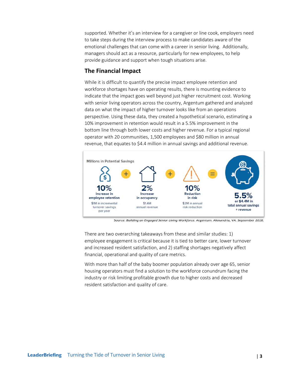supported. Whether it's an interview for a caregiver or line cook, employers need to take steps during the interview process to make candidates aware of the emotional challenges that can come with a career in senior living. Additionally, managers should act as a resource, particularly for new employees, to help provide guidance and support when tough situations arise.

## **The Financial Impact**

While it is difficult to quantify the precise impact employee retention and workforce shortages have on operating results, there is mounting evidence to indicate that the impact goes well beyond just higher recruitment cost. Working with senior living operators across the country, Argentum gathered and analyzed data on what the impact of higher turnover looks like from an operations perspective. Using these data, they created a hypothetical scenario, estimating a 10% improvement in retention would result in a 5.5% improvement in the bottom line through both lower costs and higher revenue. For a typical regional operator with 20 communities, 1,500 employees and \$80 million in annual revenue, that equates to \$4.4 million in annual savings and additional revenue.



Source: *Building an Engaged Senior Living Workforce.* Argentum. Alexandria, VA. September 2018.

There are two overarching takeaways from these and similar studies: 1) employee engagement is critical because it is tied to better care, lower turnover and increased resident satisfaction, and 2) staffing shortages negatively affect financial, operational and quality of care metrics.

With more than half of the baby boomer population already over age 65, senior housing operators must find a solution to the workforce conundrum facing the industry or risk limiting profitable growth due to higher costs and decreased resident satisfaction and quality of care.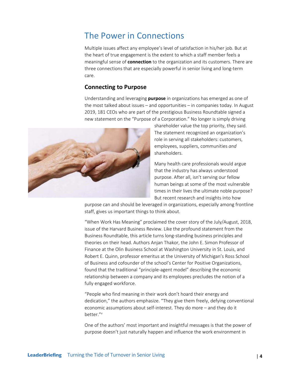## The Power in Connections

Multiple issues affect any employee's level of satisfaction in his/her job. But at the heart of true engagement is the extent to which a staff member feels a meaningful sense of **connection** to the organization and its customers. There are three connections that are especially powerful in senior living and long‐term care.

## **Connecting to Purpose**

Understanding and leveraging **purpose** in organizations has emerged as one of the most talked about issues – and opportunities – in companies today. In August 2019, 181 CEOs who are part of the prestigious Business Roundtable signed a new statement on the "Purpose of a Corporation." No longer is simply driving



shareholder value the top priority, they said. The statement recognized an organization's role in serving all stakeholders: customers, employees, suppliers, communities *and* shareholders.

Many health care professionals would argue that the industry has always understood purpose. After all, isn't serving our fellow human beings at some of the most vulnerable times in their lives the ultimate noble purpose? But recent research and insights into how

purpose can and should be leveraged in organizations, especially among frontline staff, gives us important things to think about.

"When Work Has Meaning" proclaimed the cover story of the July/August, 2018, issue of the Harvard Business Review. Like the profound statement from the Business Roundtable, this article turns long‐standing business principles and theories on their head. Authors Anjan Thakor, the John E. Simon Professor of Finance at the Olin Business School at Washington University in St. Louis, and Robert E. Quinn, professor emeritus at the University of Michigan's Ross School of Business and cofounder of the school's Center for Positive Organizations, found that the traditional "principle‐agent model" describing the economic relationship between a company and its employees precludes the notion of a fully engaged workforce.

"People who find meaning in their work don't hoard their energy and dedication," the authors emphasize. "They give them freely, defying conventional economic assumptions about self‐interest. They do more – and they do it better."V

One of the authors' most important and insightful messages is that the power of purpose doesn't just naturally happen and influence the work environment in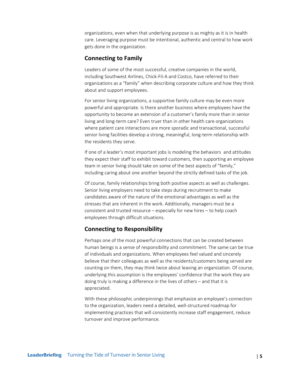organizations, even when that underlying purpose is as mighty as it is in health care. Leveraging purpose must be intentional, authentic and central to how work gets done in the organization.

### **Connecting to Family**

Leaders of some of the most successful, creative companies in the world, including Southwest Airlines, Chick‐Fil‐A and Costco, have referred to their organizations as a "family" when describing corporate culture and how they think about and support employees.

For senior living organizations, a supportive family culture may be even more powerful and appropriate. Is there another business where employees have the opportunity to become an extension of a customer's family more than in senior living and long‐term care? Even truer than in other health care organizations where patient care interactions are more sporadic and transactional, successful senior living facilities develop a strong, meaningful, long-term relationship with the residents they serve.

If one of a leader's most important jobs is modeling the behaviors and attitudes they expect their staff to exhibit toward customers, then supporting an employee team in senior living should take on some of the best aspects of "family," including caring about one another beyond the strictly defined tasks of the job.

Of course, family relationships bring both positive aspects as well as challenges. Senior living employers need to take steps during recruitment to make candidates aware of the nature of the emotional advantages as well as the stresses that are inherent in the work. Additionally, managers must be a consistent and trusted resource – especially for new hires – to help coach employees through difficult situations.

## **Connecting to Responsibility**

Perhaps one of the most powerful connections that can be created between human beings is a sense of responsibility and commitment. The same can be true of individuals and organizations. When employees feel valued and sincerely believe that their colleagues as well as the residents/customers being served are counting on them, they may think twice about leaving an organization. Of course, underlying this assumption is the employees' confidence that the work they are doing truly is making a difference in the lives of others – and that it is appreciated.

With these philosophic underpinnings that emphasize an employee's connection to the organization, leaders need a detailed, well‐structured roadmap for implementing practices that will consistently increase staff engagement, reduce turnover and improve performance.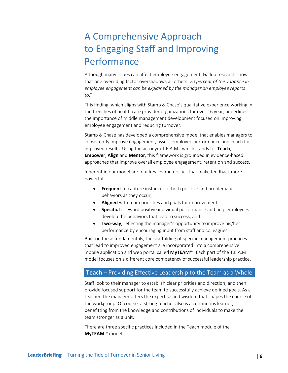## A Comprehensive Approach to Engaging Staff and Improving Performance

Although many issues can affect employee engagement, Gallup research shows that one overriding factor overshadows all others: *70 percent of the variance in employee engagement can be explained by the manager an employee reports to*. vi

This finding, which aligns with Stamp & Chase's qualitative experience working in the trenches of health care provider organizations for over 16 year, underlines the importance of middle management development focused on improving employee engagement and reducing turnover.

Stamp & Chase has developed a comprehensive model that enables managers to consistently improve engagement, assess employee performance and coach for improved results. Using the acronym T.E.A.M., which stands for **Teach**, **Empower**, **Align** and **Mentor**, this framework is grounded in evidence‐based approaches that improve overall employee engagement, retention and success.

Inherent in our model are four key characteristics that make feedback more powerful:

- **Frequent** to capture instances of both positive and problematic behaviors as they occur,
- **Aligned** with team priorities and goals for improvement,
- **Specific** to reward positive individual performance and help employees develop the behaviors that lead to success, and
- **Two-way**, reflecting the manager's opportunity to improve his/her performance by encouraging input from staff and colleagues

Built on these fundamentals, the scaffolding of specific management practices that lead to improved engagement are incorporated into a comprehensive mobile application and web portal called **MyTEAM**™. Each part of the T.E.A.M. model focuses on a different core competency of successful leadership practice.

### **Teach** – Providing Effective Leadership to the Team as a Whole

Staff look to their manager to establish clear priorities and direction, and then provide focused support for the team to successfully achieve defined goals. As a teacher, the manager offers the expertise and wisdom that shapes the course of the workgroup. Of course, a strong teacher also is a continuous learner, benefitting from the knowledge and contributions of individuals to make the team stronger as a unit.

There are three specific practices included in the Teach module of the **MyTEAM**™ model: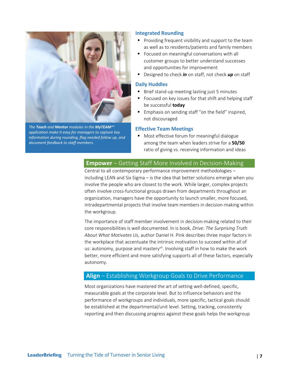

*The Teach and Mentor modules in the MyTEAM™ application make it easy for managers to capture key information during rounding, flag needed follow up, and document feedback to staff members.* 

#### **Integrated Rounding**

- **Providing frequent visibility and support to the team** as well as to residents/patients and family members
- **Focused on meaningful conversations with all** customer groups to better understand successes and opportunities for improvement
- Designed to check *in* on staff, not check *up* on staff

#### **Daily Huddles**

- Brief stand‐up meeting lasting just 5 minutes
- Focused on key issues for that shift and helping staff be successful **today**
- **Emphasis on sending staff "on the field" inspired,** not discouraged

#### **Effective Team Meetings**

**Most effective forum for meaningful dialogue** among the team when leaders strive for a **50/50** ratio of giving vs. receiving information and ideas

## **Empower** – Getting Staff More Involved in Decision‐Making

Central to all contemporary performance improvement methodologies – including LEAN and Six Sigma – is the idea that better solutions emerge when you involve the people who are closest to the work. While larger, complex projects often involve cross‐functional groups drawn from departments throughout an organization, managers have the opportunity to launch smaller, more focused, intradepartmental projects that involve team members in decision-making within the workgroup.

The importance of staff member involvement in decision-making related to their core responsibilities is well documented. In is book, *Drive: The Surprising Truth About What Motivates Us*, author Daniel H. Pink describes three major factors in the workplace that accentuate the intrinsic motivation to succeed within all of us: autonomy, purpose and mastery<sup>vii</sup>. Involving staff in how to make the work better, more efficient and more satisfying supports all of these factors, especially autonomy.

### **Align** – Establishing Workgroup Goals to Drive Performance

Most organizations have mastered the art of setting well‐defined, specific, measurable goals at the corporate level. But to influence behaviors and the performance of workgroups and individuals, more specific, tactical goals should be established at the departmental/unit level. Setting, tracking, consistently reporting and then discussing progress against these goals helps the workgroup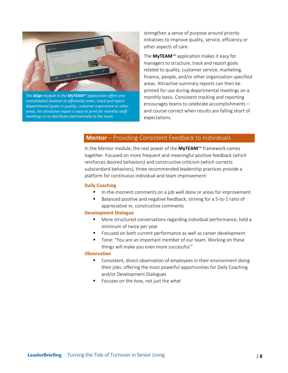

*The Align module in the MyTEAM™ application offers one consolidated location to efficiently enter, track and report departmental goals in quality, customer experience or other areas. An attractive report is easy to print for monthly staff meetings or to distribute electronically to the team.* 

strengthen a sense of purpose around priority initiatives to improve quality, service, efficiency or other aspects of care.

The **MyTEAM**™ application makes it easy for managers to structure, track and report goals related to quality, customer service, marketing, finance, people, and/or other organization‐specified areas. Attractive summary reports can then be printed for use during departmental meetings on a monthly basis. Consistent tracking and reporting encourages teams to celebrate accomplishments – and course‐correct when results are falling short of expectations.

## **Mentor** – Providing Consistent Feedback to Individuals

In the Mentor module, the real power of the **MyTEAM**™ framework comes together. Focused on more frequent and meaningful positive feedback (which reinforces desired behaviors) and constructive criticism (which corrects substandard behaviors), three recommended leadership practices provide a platform for continuous individual and team improvement:

#### **Daily Coaching**

- In‐the‐moment comments on a job well done or areas for improvement
- Balanced positive and negative feedback, striving for a 5‐to‐1 ratio of appreciative vs. constructive comments

#### **Development Dialogue**

- More structured conversations regarding individual performance, held a minimum of twice per year
- **FIM** Focused on both current performance as well as career development
- Tone: "You are an important member of our team. Working on these things will make you even more successful."

#### **Observation**

- **Consistent, direct observation of employees in their environment doing** their jobs, offering the most powerful opportunities for Daily Coaching and/or Development Dialogues
- Focuses on the *how*, not just the *what*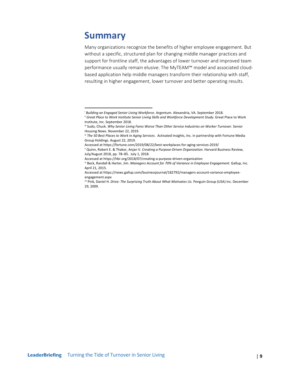## **Summary**

Many organizations recognize the benefits of higher employee engagement. But without a specific, structured plan for changing middle manager practices and support for frontline staff, the advantages of lower turnover and improved team performance usually remain elusive. The MyTEAM™ model and associated cloud‐ based application help middle managers transform their relationship with staff, resulting in higher engagement, lower turnover and better operating results.

i *Building an Engaged Senior Living Workforce*. Argentum. Alexandria, VA. September 2018.

ii *Great Place to Work Institute Senior Living Skills and Workforce Development Study*. Great Place to Work Institute, Inc. September 2018.

iii Sudo, Chuck. *Why Senior Living Fares Worse Than Other Service Industries on Worker Turnover*. Senior Housing News. November 22, 2019.

iv *The 50 Best Places to Work in Aging Services*. Activated Insights, Inc. in partnership with Fortune Media Group Holdings. August 22, 2019.

Accessed at https://fortune.com/2019/08/22/best‐workplaces‐for‐aging‐services‐2019/

v Quinn, Robert E. & Thakor, Anjan V. *Creating a Purpose‐Driven Organization*. Harvard Business Review, July/August 2018, pp. 78–85. July 1, 2018.

Accessed at https://hbr.org/2018/07/creating‐a‐purpose‐driven‐organization

vi Beck, Randall & Harter, Jim. *Managers Account for 70% of Variance in Employee Engagement*. Gallup, Inc. April 21, 2015.

Accessed at https://news.gallup.com/businessjournal/182792/managers-account-variance-employeeengagement.aspx

vii Pink, Daniel H. *Drive: The Surprising Truth About What Motivates Us.* Penguin Group (USA) Inc. December 29, 2009.